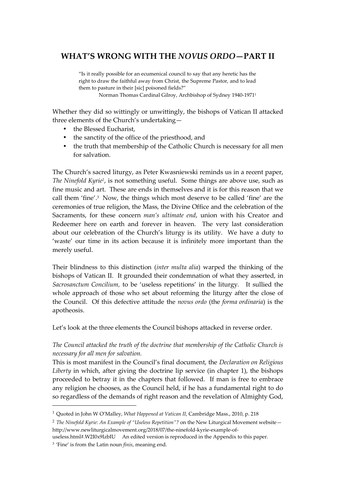# **WHAT'S WRONG WITH THE** *NOVUS ORDO***—PART II**

"Is it really possible for an ecumenical council to say that any heretic has the right to draw the faithful away from Christ, the Supreme Pastor, and to lead them to pasture in their [sic] poisoned fields?"

Norman Thomas Cardinal Gilroy, Archbishop of Sydney 1940-1971<sup>1</sup>

Whether they did so wittingly or unwittingly, the bishops of Vatican II attacked three elements of the Church's undertaking—

- the Blessed Eucharist,
- the sanctity of the office of the priesthood, and
- the truth that membership of the Catholic Church is necessary for all men for salvation.

The Church's sacred liturgy, as Peter Kwasniewski reminds us in a recent paper, *The Ninefold Kyrie<sup>2</sup>*, is not something useful. Some things are above use, such as fine music and art. These are ends in themselves and it is for this reason that we call them 'fine'.<sup>3</sup> Now, the things which most deserve to be called 'fine' are the ceremonies of true religion, the Mass, the Divine Office and the celebration of the Sacraments, for these concern *man's ultimate end*, union with his Creator and Redeemer here on earth and forever in heaven. The very last consideration about our celebration of the Church's liturgy is its utility. We have a duty to 'waste' our time in its action because it is infinitely more important than the merely useful.

Their blindness to this distinction (*inter multa alia*) warped the thinking of the bishops of Vatican II. It grounded their condemnation of what they asserted, in *Sacrosanctum Concilium,* to be 'useless repetitions' in the liturgy*.* It sullied the whole approach of those who set about reforming the liturgy after the close of the Council. Of this defective attitude the *novus ordo* (the *forma ordinaria*) is the apotheosis.

Let's look at the three elements the Council bishops attacked in reverse order.

*The Council attacked the truth of the doctrine that membership of the Catholic Church is necessary for all men for salvation.*

This is most manifest in the Council's final document, the *Declaration on Religious Liberty* in which, after giving the doctrine lip service (in chapter 1), the bishops proceeded to betray it in the chapters that followed. If man is free to embrace any religion he chooses, as the Council held, if he has a fundamental right to do so regardless of the demands of right reason and the revelation of Almighty God,

<sup>1</sup> Quoted in John W O'Malley, *What Happened at Vatican II*, Cambridge Mass., 2010, p. 218

<sup>2</sup> *The Ninefold Kyrie: An Example of "Useless Repetition"?* on the New Liturgical Movement website http://www.newliturgicalmovement.org/2018/07/the-ninefold-kyrie-example-of-

useless.html#.W2I0x9IzbIU An edited version is reproduced in the Appendix to this paper.

<sup>3</sup> 'Fine' is from the Latin noun *finis*, meaning end.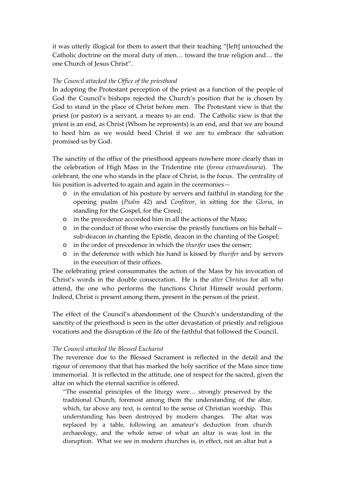it was utterly illogical for them to assert that their teaching "[left] untouched the Catholic doctrine on the moral duty of men… toward the true religion and… the one Church of Jesus Christ".

#### *The Council attacked the Office of the priesthood*

In adopting the Protestant perception of the priest as a function of the people of God the Council's bishops rejected the Church's position that he is chosen by God to stand in the place of Christ before men. The Protestant view is that the priest (or pastor) is a servant, a means to an end. The Catholic view is that the priest is an end, as Christ (Whom he represents) is an end, and that we are bound to heed him as we would heed Christ if we are to embrace the salvation promised us by God.

The sanctity of the office of the priesthood appears nowhere more clearly than in the celebration of High Mass in the Tridentine rite (*forma extraordinaria*). The celebrant, the one who stands in the place of Christ, is the focus. The centrality of his position is adverted to again and again in the ceremonies—

- o in the emulation of his posture by servers and faithful in standing for the opening psalm (*Psalm* 42) and *Confiteor*, in sitting for the *Gloria*, in standing for the Gospel, for the Creed;
- o in the precedence accorded him in all the actions of the Mass;
- o in the conduct of those who exercise the priestly functions on his behalf sub-deacon in chanting the Epistle, deacon in the chanting of the Gospel;
- o in the order of precedence in which the *thurifer* uses the censer;
- o in the deference with which his hand is kissed by *thurifer* and by servers in the execution of their offices.

The celebrating priest consummates the action of the Mass by his invocation of Christ's words in the double consecration. He is the *alter Christus* for all who attend, the one who performs the functions Christ Himself would perform. Indeed, Christ *is* present among them, present in the person of the priest.

The effect of the Council's abandonment of the Church's understanding of the sanctity of the priesthood is seen in the utter devastation of priestly and religious vocations and the disruption of the life of the faithful that followed the Council.

#### *The Council attacked the Blessed Eucharist*

The reverence due to the Blessed Sacrament is reflected in the detail and the rigour of ceremony that that has marked the holy sacrifice of the Mass since time immemorial. It is reflected in the attitude, one of respect for the sacred, given the altar on which the eternal sacrifice is offered.

"The essential principles of the liturgy were… strongly preserved by the traditional Church, foremost among them the understanding of the altar, which, far above any text, is central to the sense of Christian worship. This understanding has been destroyed by modern changes. The altar was replaced by a table, following an amateur's deduction from church archaeology, and the whole sense of what an altar is was lost in the disruption. What we see in modern churches is, in effect, not an altar but a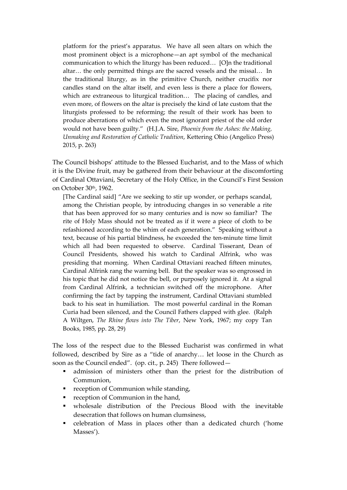platform for the priest's apparatus. We have all seen altars on which the most prominent object is a microphone—an apt symbol of the mechanical communication to which the liturgy has been reduced… [O]n the traditional altar… the only permitted things are the sacred vessels and the missal… In the traditional liturgy, as in the primitive Church, neither crucifix nor candles stand on the altar itself, and even less is there a place for flowers, which are extraneous to liturgical tradition… The placing of candles, and even more, of flowers on the altar is precisely the kind of late custom that the liturgists professed to be reforming; the result of their work has been to produce aberrations of which even the most ignorant priest of the old order would not have been guilty." (H.J.A. Sire, *Phoenix from the Ashes: the Making, Unmaking and Restoration of Catholic Tradition*, Kettering Ohio (Angelico Press) 2015, p. 263)

The Council bishops' attitude to the Blessed Eucharist, and to the Mass of which it is the Divine fruit, may be gathered from their behaviour at the discomforting of Cardinal Ottaviani, Secretary of the Holy Office, in the Council's First Session on October 30th, 1962.

[The Cardinal said] "Are we seeking to stir up wonder, or perhaps scandal, among the Christian people, by introducing changes in so venerable a rite that has been approved for so many centuries and is now so familiar? The rite of Holy Mass should not be treated as if it were a piece of cloth to be refashioned according to the whim of each generation." Speaking without a text, because of his partial blindness, he exceeded the ten-minute time limit which all had been requested to observe. Cardinal Tisserant, Dean of Council Presidents, showed his watch to Cardinal Alfrink, who was presiding that morning. When Cardinal Ottaviani reached fifteen minutes, Cardinal Alfrink rang the warning bell. But the speaker was so engrossed in his topic that he did not notice the bell, or purposely ignored it. At a signal from Cardinal Alfrink, a technician switched off the microphone. After confirming the fact by tapping the instrument, Cardinal Ottaviani stumbled back to his seat in humiliation. The most powerful cardinal in the Roman Curia had been silenced, and the Council Fathers clapped with glee. (Ralph A Wiltgen, *The Rhine flows into The Tiber*, New York, 1967; my copy Tan Books, 1985, pp. 28, 29)

The loss of the respect due to the Blessed Eucharist was confirmed in what followed, described by Sire as a "tide of anarchy… let loose in the Church as soon as the Council ended". (op. cit., p. 245) There followed—

- admission of ministers other than the priest for the distribution of Communion,
- **reception of Communion while standing,**
- **reception of Communion in the hand,**
- wholesale distribution of the Precious Blood with the inevitable desecration that follows on human clumsiness,
- celebration of Mass in places other than a dedicated church ('home Masses').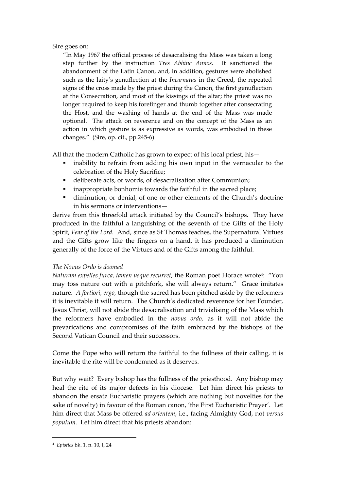## Sire goes on:

"In May 1967 the official process of desacralising the Mass was taken a long step further by the instruction *Tres Abhinc Annos*. It sanctioned the abandonment of the Latin Canon, and, in addition, gestures were abolished such as the laity's genuflection at the *Incarnatus* in the Creed, the repeated signs of the cross made by the priest during the Canon, the first genuflection at the Consecration, and most of the kissings of the altar; the priest was no longer required to keep his forefinger and thumb together after consecrating the Host, and the washing of hands at the end of the Mass was made optional. The attack on reverence and on the concept of the Mass as an action in which gesture is as expressive as words, was embodied in these changes." (Sire, op. cit., pp.245-6)

All that the modern Catholic has grown to expect of his local priest, his—

- inability to refrain from adding his own input in the vernacular to the celebration of the Holy Sacrifice;
- deliberate acts, or words, of desacralisation after Communion;
- **inappropriate bonhomie towards the faithful in the sacred place;**
- diminution, or denial, of one or other elements of the Church's doctrine in his sermons or interventions—

derive from this threefold attack initiated by the Council's bishops. They have produced in the faithful a languishing of the seventh of the Gifts of the Holy Spirit, *Fear of the Lord.* And, since as St Thomas teaches, the Supernatural Virtues and the Gifts grow like the fingers on a hand, it has produced a diminution generally of the force of the Virtues and of the Gifts among the faithful.

# *The Novus Ordo is doomed*

*Naturam expelles furca, tamen usque recurret,* the Roman poet Horace wrote<sup>4</sup> : "You may toss nature out with a pitchfork, she will always return." Grace imitates nature. *A fortiori, ergo,* though the sacred has been pitched aside by the reformers it is inevitable it will return. The Church's dedicated reverence for her Founder, Jesus Christ, will not abide the desacralisation and trivialising of the Mass which the reformers have embodied in the *novus ordo,* as it will not abide the prevarications and compromises of the faith embraced by the bishops of the Second Vatican Council and their successors.

Come the Pope who will return the faithful to the fullness of their calling, it is inevitable the rite will be condemned as it deserves.

But why wait? Every bishop has the fullness of the priesthood. Any bishop may heal the rite of its major defects in his diocese. Let him direct his priests to abandon the ersatz Eucharistic prayers (which are nothing but novelties for the sake of novelty) in favour of the Roman canon, 'the First Eucharistic Prayer'. Let him direct that Mass be offered *ad orientem*, i.e., facing Almighty God, not *versus populum*. Let him direct that his priests abandon:

<sup>4</sup> *Epistles* bk. 1, n. 10, I, 24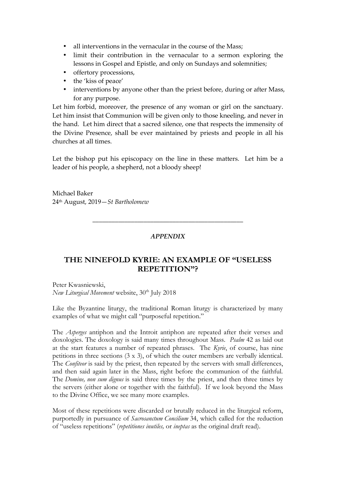- all interventions in the vernacular in the course of the Mass;
- limit their contribution in the vernacular to a sermon exploring the lessons in Gospel and Epistle, and only on Sundays and solemnities;
- offertory processions,
- the 'kiss of peace'
- interventions by anyone other than the priest before, during or after Mass, for any purpose.

Let him forbid, moreover, the presence of any woman or girl on the sanctuary. Let him insist that Communion will be given only to those kneeling, and never in the hand. Let him direct that a sacred silence, one that respects the immensity of the Divine Presence, shall be ever maintained by priests and people in all his churches at all times.

Let the bishop put his episcopacy on the line in these matters. Let him be a leader of his people, a shepherd, not a bloody sheep!

Michael Baker 24 th August, 2019—*St Bartholomew*

### *APPENDIX*

\_\_\_\_\_\_\_\_\_\_\_\_\_\_\_\_\_\_\_\_\_\_\_\_\_\_\_\_\_\_\_\_\_\_\_\_\_\_\_\_\_\_\_\_\_\_\_

# **THE NINEFOLD KYRIE: AN EXAMPLE OF "USELESS REPETITION"?**

Peter Kwasniewski, *New Liturgical Movement* website, 30<sup>th</sup> July 2018

Like the Byzantine liturgy, the traditional Roman liturgy is characterized by many examples of what we might call "purposeful repetition."

The *Asperges* antiphon and the Introit antiphon are repeated after their verses and doxologies. The doxology is said many times throughout Mass. *Psalm* 42 as laid out at the start features a number of repeated phrases. The *Kyrie*, of course, has nine petitions in three sections (3 x 3), of which the outer members are verbally identical. The *Confiteor* is said by the priest, then repeated by the servers with small differences, and then said again later in the Mass, right before the communion of the faithful. The *Domine, non sum dignus* is said three times by the priest, and then three times by the servers (either alone or together with the faithful). If we look beyond the Mass to the Divine Office, we see many more examples.

Most of these repetitions were discarded or brutally reduced in the liturgical reform, purportedly in pursuance of *Sacrosanctum Concilium* 34, which called for the reduction of "useless repetitions" (*repetitiones inutiles,* or *ineptas* as the original draft read).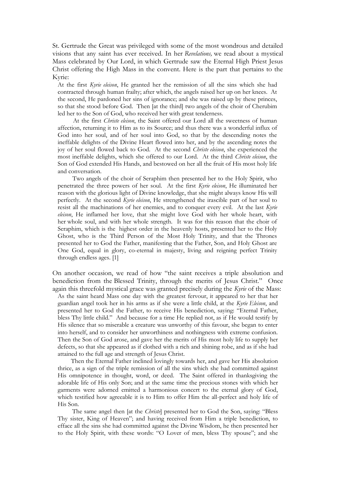St. Gertrude the Great was privileged with some of the most wondrous and detailed visions that any saint has ever received. In her *Revelations,* we read about a mystical Mass celebrated by Our Lord, in which Gertrude saw the Eternal High Priest Jesus Christ offering the High Mass in the convent. Here is the part that pertains to the Kyrie:

At the first *Kyrie eleison*, He granted her the remission of all the sins which she had contracted through human frailty; after which, the angels raised her up on her knees. At the second, He pardoned her sins of ignorance; and she was raised up by these princes, so that she stood before God. Then [at the third] two angels of the choir of Cherubim led her to the Son of God, who received her with great tenderness.

At the first *Christe eleison*, the Saint offered our Lord all the sweetness of human affection, returning it to Him as to its Source; and thus there was a wonderful influx of God into her soul, and of her soul into God, so that by the descending notes the ineffable delights of the Divine Heart flowed into her, and by the ascending notes the joy of her soul flowed back to God. At the second *Christe eleison*, she experienced the most ineffable delights, which she offered to our Lord. At the third *Christe eleison*, the Son of God extended His Hands, and bestowed on her all the fruit of His most holy life and conversation.

Two angels of the choir of Seraphim then presented her to the Holy Spirit, who penetrated the three powers of her soul. At the first *Kyrie eleison*, He illuminated her reason with the glorious light of Divine knowledge, that she might always know His will perfectly. At the second *Kyrie eleison*, He strengthened the irascible part of her soul to resist all the machinations of her enemies, and to conquer every evil. At the last *Kyrie eleison*, He inflamed her love, that she might love God with her whole heart, with her whole soul, and with her whole strength. It was for this reason that the choir of Seraphim, which is the highest order in the heavenly hosts, presented her to the Holy Ghost, who is the Third Person of the Most Holy Trinity, and that the Thrones presented her to God the Father, manifesting that the Father, Son, and Holy Ghost are One God, equal in glory, co-eternal in majesty, living and reigning perfect Trinity through endless ages. [1]

On another occasion, we read of how "the saint receives a triple absolution and benediction from the Blessed Trinity, through the merits of Jesus Christ." Once again this threefold mystical grace was granted precisely during the *Kyrie* of the Mass: As the saint heard Mass one day with the greatest fervour, it appeared to her that her guardian angel took her in his arms as if she were a little child, at the *Kyrie Eleison*, and presented her to God the Father, to receive His benediction, saying: "Eternal Father, bless Thy little child." And because for a time He replied not, as if He would testify by His silence that so miserable a creature was unworthy of this favour, she began to enter into herself, and to consider her unworthiness and nothingness with extreme confusion. Then the Son of God arose, and gave her the merits of His most holy life to supply her defects, so that she appeared as if clothed with a rich and shining robe, and as if she had attained to the full age and strength of Jesus Christ.

Then the Eternal Father inclined lovingly towards her, and gave her His absolution thrice, as a sign of the triple remission of all the sins which she had committed against His omnipotence in thought, word, or deed. The Saint offered in thanksgiving the adorable life of His only Son; and at the same time the precious stones with which her garments were adorned emitted a harmonious concert to the eternal glory of God, which testified how agreeable it is to Him to offer Him the all-perfect and holy life of His Son.

The same angel then [at the *Christe*] presented her to God the Son, saying: "Bless Thy sister, King of Heaven"; and having received from Him a triple benediction, to efface all the sins she had committed against the Divine Wisdom, he then presented her to the Holy Spirit, with these words: "O Lover of men, bless Thy spouse"; and she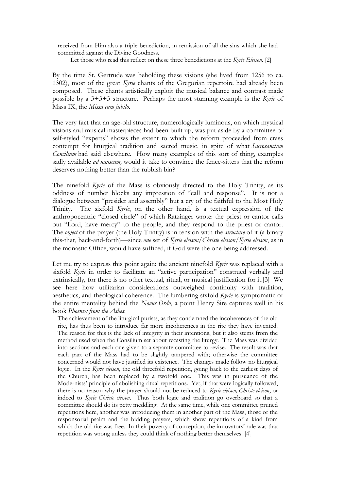received from Him also a triple benediction, in remission of all the sins which she had committed against the Divine Goodness.

Let those who read this reflect on these three benedictions at the *Kyrie Eleison*. [2]

By the time St. Gertrude was beholding these visions (she lived from 1256 to ca. 1302), most of the great *Kyrie* chants of the Gregorian repertoire had already been composed. These chants artistically exploit the musical balance and contrast made possible by a 3+3+3 structure. Perhaps the most stunning example is the *Kyrie* of Mass IX, the *Missa cum jubilo*.

The very fact that an age-old structure, numerologically luminous, on which mystical visions and musical masterpieces had been built up, was put aside by a committee of self-styled "experts" shows the extent to which the reform proceeded from crass contempt for liturgical tradition and sacred music, in spite of what *Sacrosanctum Concilium* had said elsewhere. How many examples of this sort of thing, examples sadly available *ad nauseam,* would it take to convince the fence-sitters that the reform deserves nothing better than the rubbish bin?

The ninefold *Kyrie* of the Mass is obviously directed to the Holy Trinity, as its oddness of number blocks any impression of "call and response". It is not a dialogue between "presider and assembly" but a cry of the faithful to the Most Holy Trinity. The sixfold *Kyrie*, on the other hand, is a textual expression of the anthropocentric "closed circle" of which Ratzinger wrote: the priest or cantor calls out "Lord, have mercy" to the people, and they respond to the priest or cantor. The *object* of the prayer (the Holy Trinity) is in tension with the *structure* of it (a binary this-that, back-and-forth)—since *one* set of *Kyrie eleison/Christe eleison/Kyrie eleison*, as in the monastic Office, would have sufficed, if God were the one being addressed.

Let me try to express this point again: the ancient ninefold *Kyrie* was replaced with a sixfold *Kyrie* in order to facilitate an "active participation" construed verbally and extrinsically, for there is no other textual, ritual, or musical justification for it.[3] We see here how utilitarian considerations outweighed continuity with tradition, aesthetics, and theological coherence. The lumbering sixfold *Kyrie* is symptomatic of the entire mentality behind the *Novus Ordo*, a point Henry Sire captures well in his book *Phoenix from the Ashes*:

The achievement of the liturgical purists, as they condemned the incoherences of the old rite, has thus been to introduce far more incoherences in the rite they have invented. The reason for this is the lack of integrity in their intentions, but it also stems from the method used when the Consilium set about recasting the liturgy. The Mass was divided into sections and each one given to a separate committee to revise. The result was that each part of the Mass had to be slightly tampered with; otherwise the committee concerned would not have justified its existence. The changes made follow no liturgical logic. In the *Kyrie eleison*, the old threefold repetition, going back to the earliest days of the Church, has been replaced by a twofold one. This was in pursuance of the Modernists' principle of abolishing ritual repetitions. Yet, if that were logically followed, there is no reason why the prayer should not be reduced to *Kyrie eleison, Christe eleison*, or indeed to *Kyrie Christe eleison*. Thus both logic and tradition go overboard so that a committee should do its petty meddling. At the same time, while one committee pruned repetitions here, another was introducing them in another part of the Mass, those of the responsorial psalm and the bidding prayers, which show repetitions of a kind from which the old rite was free. In their poverty of conception, the innovators' rule was that repetition was wrong unless they could think of nothing better themselves. [4]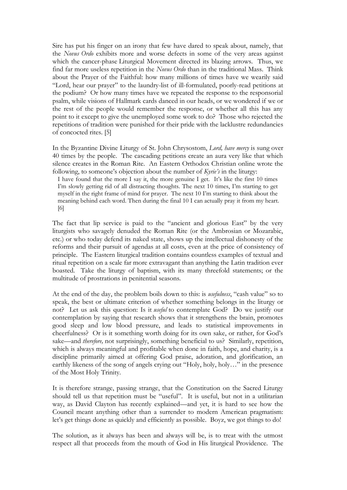Sire has put his finger on an irony that few have dared to speak about, namely, that the *Novus Ordo* exhibits more and worse defects in some of the very areas against which the cancer-phase Liturgical Movement directed its blazing arrows. Thus, we find far more useless repetition in the *Novus Ordo* than in the traditional Mass. Think about the Prayer of the Faithful: how many millions of times have we wearily said "Lord, hear our prayer" to the laundry-list of ill-formulated, poorly-read petitions at the podium? Or how many times have we repeated the response to the responsorial psalm, while visions of Hallmark cards danced in our heads, or we wondered if we or the rest of the people would remember the response, or whether all this has any point to it except to give the unemployed some work to do? Those who rejected the repetitions of tradition were punished for their pride with the lacklustre redundancies of concocted rites. [5]

In the Byzantine Divine Liturgy of St. John Chrysostom, *Lord, have mercy* is sung over 40 times by the people. The cascading petitions create an aura very like that which silence creates in the Roman Rite. An Eastern Orthodox Christian online wrote the following, to someone's objection about the number of *Kyrie's* in the liturgy:

I have found that the more I say it, the more genuine I get. It's like the first 10 times I'm slowly getting rid of all distracting thoughts. The next 10 times, I'm starting to get myself in the right frame of mind for prayer. The next 10 I'm starting to think about the meaning behind each word. Then during the final 10 I can actually pray it from my heart. [6]

The fact that lip service is paid to the "ancient and glorious East" by the very liturgists who savagely denuded the Roman Rite (or the Ambrosian or Mozarabic, etc.) or who today defend its naked state, shows up the intellectual dishonesty of the reforms and their pursuit of agendas at all costs, even at the price of consistency of principle. The Eastern liturgical tradition contains countless examples of textual and ritual repetition on a scale far more extravagant than anything the Latin tradition ever boasted. Take the liturgy of baptism, with its many threefold statements; or the multitude of prostrations in penitential seasons.

At the end of the day, the problem boils down to this: is *usefulness*, "cash value" so to speak, the best or ultimate criterion of whether something belongs in the liturgy or not? Let us ask this question: Is it *useful* to contemplate God? Do we justify our contemplation by saying that research shows that it strengthens the brain, promotes good sleep and low blood pressure, and leads to statistical improvements in cheerfulness? Or is it something worth doing for its own sake, or rather, for God's sake—and *therefore,* not surprisingly, something beneficial to us? Similarly, repetition, which is always meaningful and profitable when done in faith, hope, and charity, is a discipline primarily aimed at offering God praise, adoration, and glorification, an earthly likeness of the song of angels crying out "Holy, holy, holy…" in the presence of the Most Holy Trinity.

It is therefore strange, passing strange, that the Constitution on the Sacred Liturgy should tell us that repetition must be "useful". It is useful, but not in a utilitarian way, as David Clayton has recently explained—and yet, it is hard to see how the Council meant anything other than a surrender to modern American pragmatism: let's get things done as quickly and efficiently as possible. Boyz, we got things to do!

The solution, as it always has been and always will be, is to treat with the utmost respect all that proceeds from the mouth of God in His liturgical Providence. The